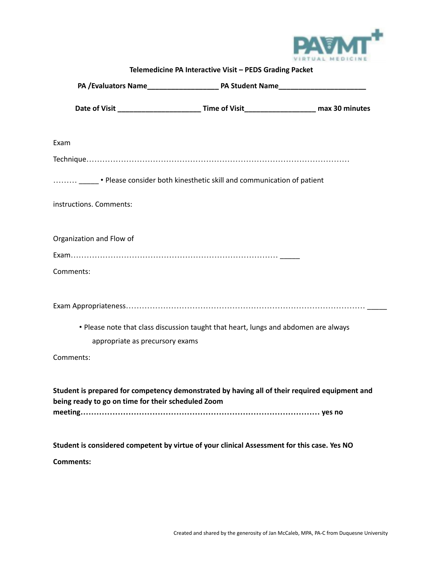

| Telemedicine PA Interactive Visit - PEDS Grading Packet                                                                                             |
|-----------------------------------------------------------------------------------------------------------------------------------------------------|
|                                                                                                                                                     |
|                                                                                                                                                     |
| Exam                                                                                                                                                |
|                                                                                                                                                     |
| Please consider both kinesthetic skill and communication of patient                                                                                 |
| instructions. Comments:                                                                                                                             |
| Organization and Flow of                                                                                                                            |
|                                                                                                                                                     |
| Comments:                                                                                                                                           |
|                                                                                                                                                     |
| • Please note that class discussion taught that heart, lungs and abdomen are always<br>appropriate as precursory exams                              |
| Comments:                                                                                                                                           |
| Student is prepared for competency demonstrated by having all of their required equipment and<br>being ready to go on time for their scheduled Zoom |
| Student is considered competent by virtue of your clinical Assessment for this case. Yes NO                                                         |
| <b>Comments:</b>                                                                                                                                    |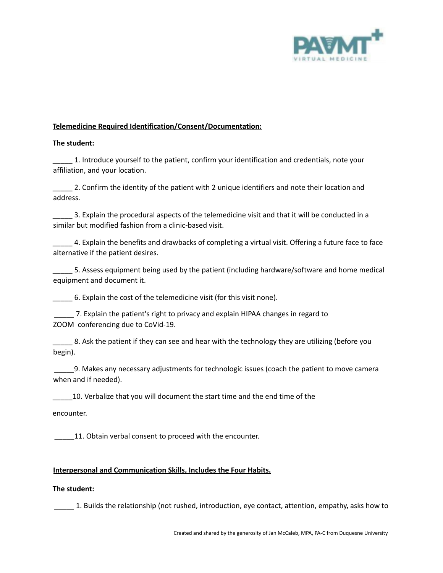

## **Telemedicine Required Identification/Consent/Documentation:**

#### **The student:**

\_\_\_\_\_ 1. Introduce yourself to the patient, confirm your identification and credentials, note your affiliation, and your location.

\_\_\_\_\_ 2. Confirm the identity of the patient with 2 unique identifiers and note their location and address.

\_\_\_\_\_ 3. Explain the procedural aspects of the telemedicine visit and that it will be conducted in a similar but modified fashion from a clinic-based visit.

\_\_\_\_\_ 4. Explain the benefits and drawbacks of completing a virtual visit. Offering a future face to face alternative if the patient desires.

\_\_\_\_\_ 5. Assess equipment being used by the patient (including hardware/software and home medical equipment and document it.

\_\_\_\_\_ 6. Explain the cost of the telemedicine visit (for this visit none).

\_\_\_\_\_ 7. Explain the patient's right to privacy and explain HIPAA changes in regard to ZOOM conferencing due to CoVid-19.

8. Ask the patient if they can see and hear with the technology they are utilizing (before you begin).

\_\_\_\_\_9. Makes any necessary adjustments for technologic issues (coach the patient to move camera when and if needed).

\_\_\_\_\_10. Verbalize that you will document the start time and the end time of the

encounter.

11. Obtain verbal consent to proceed with the encounter.

## **Interpersonal and Communication Skills, Includes the Four Habits.**

## **The student:**

\_\_\_\_\_ 1. Builds the relationship (not rushed, introduction, eye contact, attention, empathy, asks how to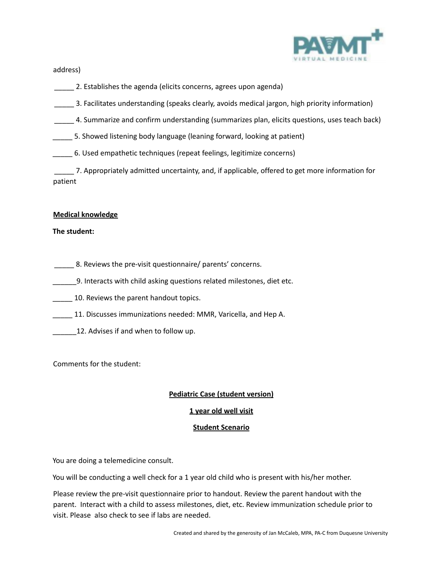

address)

- 2. Establishes the agenda (elicits concerns, agrees upon agenda)
- \_\_\_\_\_ 3. Facilitates understanding (speaks clearly, avoids medical jargon, high priority information)
- \_\_\_\_\_ 4. Summarize and confirm understanding (summarizes plan, elicits questions, uses teach back)
- \_\_\_\_\_ 5. Showed listening body language (leaning forward, looking at patient)
- \_\_\_\_\_ 6. Used empathetic techniques (repeat feelings, legitimize concerns)

\_\_\_\_\_ 7. Appropriately admitted uncertainty, and, if applicable, offered to get more information for patient

#### **Medical knowledge**

#### **The student:**

- **EXECUTE:** 8. Reviews the pre-visit questionnaire/ parents' concerns.
- \_\_\_\_\_\_9. Interacts with child asking questions related milestones, diet etc.
- 10. Reviews the parent handout topics.
- 11. Discusses immunizations needed: MMR, Varicella, and Hep A.
- 12. Advises if and when to follow up.

Comments for the student:

## **Pediatric Case (student version)**

## **1 year old well visit**

## **Student Scenario**

You are doing a telemedicine consult.

You will be conducting a well check for a 1 year old child who is present with his/her mother.

Please review the pre-visit questionnaire prior to handout. Review the parent handout with the parent. Interact with a child to assess milestones, diet, etc. Review immunization schedule prior to visit. Please also check to see if labs are needed.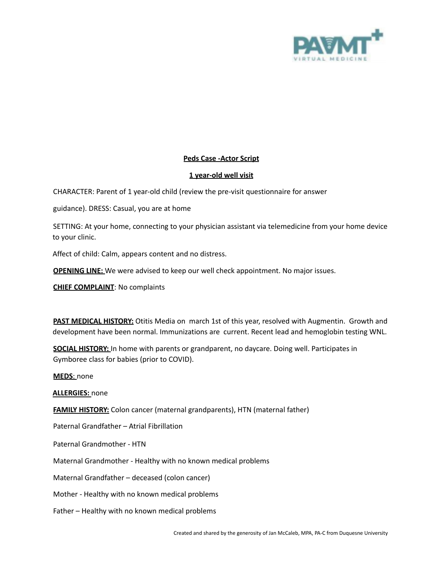

# **Peds Case -Actor Script**

# **1 year-old well visit**

CHARACTER: Parent of 1 year-old child (review the pre-visit questionnaire for answer

guidance). DRESS: Casual, you are at home

SETTING: At your home, connecting to your physician assistant via telemedicine from your home device to your clinic.

Affect of child: Calm, appears content and no distress.

**OPENING LINE:** We were advised to keep our well check appointment. No major issues.

**CHIEF COMPLAINT**: No complaints

**PAST MEDICAL HISTORY:** Otitis Media on march 1st of this year, resolved with Augmentin. Growth and development have been normal. Immunizations are current. Recent lead and hemoglobin testing WNL.

**SOCIAL HISTORY:** In home with parents or grandparent, no daycare. Doing well. Participates in Gymboree class for babies (prior to COVID).

**MEDS**: none

**ALLERGIES:** none

**FAMILY HISTORY:** Colon cancer (maternal grandparents), HTN (maternal father)

Paternal Grandfather – Atrial Fibrillation

Paternal Grandmother - HTN

Maternal Grandmother - Healthy with no known medical problems

Maternal Grandfather – deceased (colon cancer)

Mother - Healthy with no known medical problems

Father – Healthy with no known medical problems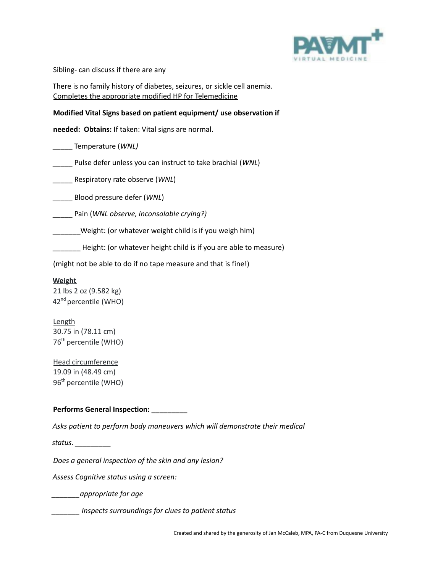

Sibling- can discuss if there are any

There is no family history of diabetes, seizures, or sickle cell anemia. Completes the appropriate modified HP for Telemedicine

## **Modified Vital Signs based on patient equipment/ use observation if**

**needed: Obtains:** If taken: Vital signs are normal.

\_\_\_\_\_ Temperature (*WNL)*

\_\_\_\_\_ Pulse defer unless you can instruct to take brachial (*WNL*)

\_\_\_\_\_ Respiratory rate observe (*WNL*)

\_\_\_\_\_ Blood pressure defer (*WNL*)

\_\_\_\_\_ Pain (*WNL observe, inconsolable crying?)*

\_\_\_\_\_\_\_Weight: (or whatever weight child is if you weigh him)

\_\_\_\_\_\_\_ Height: (or whatever height child is if you are able to measure)

(might not be able to do if no tape measure and that is fine!)

## **Weight**

21 lbs 2 oz (9.582 kg) 42<sup>nd</sup> percentile (WHO)

**Length** 30.75 in (78.11 cm) 76<sup>th</sup> percentile (WHO)

Head circumference 19.09 in (48.49 cm) 96<sup>th</sup> percentile (WHO)

## **Performs General Inspection: \_\_\_\_\_\_\_\_\_**

*Asks patient to perform body maneuvers which will demonstrate their medical*

*status. \_\_\_\_\_\_\_\_\_*

*Does a general inspection of the skin and any lesion?*

*Assess Cognitive status using a screen:*

*\_\_\_\_\_\_\_appropriate for age*

*\_\_\_\_\_\_\_ Inspects surroundings for clues to patient status*